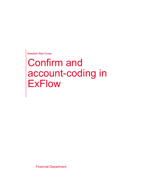Swedish Red Cross

# Confirm and account-coding in **ExFlow**

Financial Department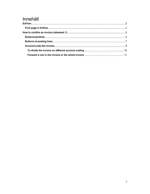# Innehåll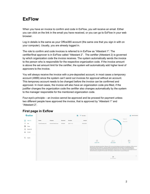# ExFlow

When you have an invoice to confirm and code in ExFlow, you will receive an email. Either you can click on the link in the email you have received, or you can go to ExFlow in your web browser.

Log in details is the same as your Office365 account (the same one that you sign in with on your computer). Usually, you are already logged in.

The role to confirm and code invoices is referred to in ExFlow as "Attestant 1". The certifier/final approver is in ExFlow called "Attestant 2". The certifier (Attestant 2) is governed by which organization code the invoice receives. The system automatically sends the invoice to the person who is responsible for the respective organization code. If the invoice amount is above the set amount limit for the certifier, the system will automatically add higher level of approvers to the invoice.

You will always receive the invoice with a pre-deposited account, in most cases a temporary account (4999) since the system can't send out invoices for approval without an account. This temporary account needs to be changed before the invoice can be confirmed and approved. In most cases, the invoice will also have an organization code pre-filled, if the justifier changes the organization code the certifier also changes automatically by the system to the manager responsible for the mentioned organization code.

Four-eye's principle – an invoice cannot be approved and be proceed for payment unless two different people have approved the invoice, that is approved by "Attestant 1" and "Attestant 2".

## First page in Exflow

|         | $G$ exflow   |                    |                     |          |            | 腼 | $\equiv$ Due date $\uparrow$ | 으                                                                                                                                                                                                                                                                                                                                                                                                                                                                                                                                                                                                                                                                              | Samira Ezzaher |
|---------|--------------|--------------------|---------------------|----------|------------|---|------------------------------|--------------------------------------------------------------------------------------------------------------------------------------------------------------------------------------------------------------------------------------------------------------------------------------------------------------------------------------------------------------------------------------------------------------------------------------------------------------------------------------------------------------------------------------------------------------------------------------------------------------------------------------------------------------------------------|----------------|
| ш       | Inbox(1)     | Vendor             | Company             | Document | Due date   |   | Amount                       | lnbox(1)<br>Recent (4)                                                                                                                                                                                                                                                                                                                                                                                                                                                                                                                                                                                                                                                         |                |
|         | Due          | Tranás Resebyrá AB | Svenska Röda Korset | IF000020 | 2021-11-12 |   | 503,00 SEK                   |                                                                                                                                                                                                                                                                                                                                                                                                                                                                                                                                                                                                                                                                                |                |
| o       | Future       |                    |                     |          |            |   |                              |                                                                                                                                                                                                                                                                                                                                                                                                                                                                                                                                                                                                                                                                                |                |
| $\odot$ | Recent $(4)$ |                    |                     |          |            |   |                              |                                                                                                                                                                                                                                                                                                                                                                                                                                                                                                                                                                                                                                                                                |                |
| ш       | On hold      |                    |                     |          |            |   |                              |                                                                                                                                                                                                                                                                                                                                                                                                                                                                                                                                                                                                                                                                                |                |
| Q       | Search       |                    |                     |          |            |   |                              | 旧<br>$\Box$ 0<br>20 <sub>o</sub><br><b>QUICK TIPS</b><br><b>DUE</b><br><b>REPLACERS</b><br>Vid inköp från utländska leverantörer tillkommer 25% moms på det belopp som konteras och attesteras i ExFlow som en<br>tillkommande kostnad. Detta kan i vissa fall innebära att attesterande chef överskrider sin attestbehörighet med<br>momskostnaden. På grund av systembegränsning kan denna bokning inte visas i Exflow, men kommer bokföras i<br>bokföringen enligt konteringen på den ursprungliga fakturan. Det kan finnas vissa undantag för tillkommande moms för<br>utländska fakturor, exempelvis för kostnader som lokalhyror, hotellkostnader och persontransporter. |                |
|         |              |                    |                     |          |            |   |                              | ⊟<br>No messages                                                                                                                                                                                                                                                                                                                                                                                                                                                                                                                                                                                                                                                               |                |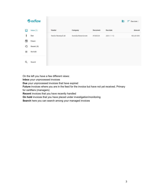|         | Gexflow     |                    |                     |                 |            | 眴 | $\equiv$ Due date $\uparrow$ |
|---------|-------------|--------------------|---------------------|-----------------|------------|---|------------------------------|
| ш       | Inbox $(1)$ | Vendor             | Company             | <b>Document</b> | Due date   |   | Amount                       |
| ļ       | Due         | Tranås Resebyrå AB | Svenska Röda Korset | IF000020        | 2021-11-12 |   | 503,00 SEK                   |
| ⊟       | Future      |                    |                     |                 |            |   |                              |
| $\odot$ | Recent (4)  |                    |                     |                 |            |   |                              |
| п       | On hold     |                    |                     |                 |            |   |                              |
| Q       | Search      |                    |                     |                 |            |   |                              |

On the left you have a few different views:

Inbox your unprocessed invoices

Due your unprocessed invoices that have expired

Future invoices where you are in the feed for the invoice but have not yet received. Primary

for certifiers (managers)

Recent invoices that you have recently handled

On hold invoices that you have placed under investigation/monitoring

Search here you can search among your managed invoices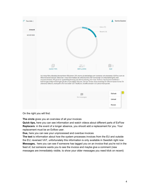| Due date 1           |                   |                                                                                                                                                                                                                                                                                                                                                                                                                                                                                         | Samira Ezzaher                                                                                                                    |
|----------------------|-------------------|-----------------------------------------------------------------------------------------------------------------------------------------------------------------------------------------------------------------------------------------------------------------------------------------------------------------------------------------------------------------------------------------------------------------------------------------------------------------------------------------|-----------------------------------------------------------------------------------------------------------------------------------|
| Amount<br>503,00 SEK |                   |                                                                                                                                                                                                                                                                                                                                                                                                                                                                                         | lnbox(1)<br>Recent (4)                                                                                                            |
|                      |                   |                                                                                                                                                                                                                                                                                                                                                                                                                                                                                         |                                                                                                                                   |
|                      | <b>OUICK TIPS</b> | 230<br><b>REPLACERS</b><br>tillkommande kostnad. Detta kan i vissa fall innebära att attesterande chef överskrider sin attestbehörighet med<br>momskostnaden. På grund av systembegränsning kan denna bokning inte visas i Exflow, men kommer bokföras i<br>bokföringen enligt konteringen på den ursprungliga fakturan. Det kan finnas vissa undantag för tillkommande moms för<br>utländska fakturor, exempelvis för kostnader som lokalhyror, hotellkostnader och persontransporter. | <b>DUE</b><br>Vid inköp från utländska leverantörer tillkommer 25% moms på det belopp som konteras och attesteras i ExFlow som en |
|                      |                   | ⊟<br>No messages                                                                                                                                                                                                                                                                                                                                                                                                                                                                        | Refresh                                                                                                                           |
|                      |                   |                                                                                                                                                                                                                                                                                                                                                                                                                                                                                         | Unread                                                                                                                            |
|                      |                   |                                                                                                                                                                                                                                                                                                                                                                                                                                                                                         | Recent                                                                                                                            |

On the right you will find:

The circle gives you an overview of all your invoices

Quick tips, here you can see information and watch videos about different parts of ExFlow Replacers: in the event of a longer absence, you should add a replacement for you. Your replacement must be an Exflow user.

Due, here you can see your unprocessed and overdue invoices

The text is information about how the system processes invoices from the EU and outside the EU; reversed VAT, unfortunately this information is only available in Swedish right now Messages, here you can see if someone has tagged you on an invoice that you're not in the feed of, but someone wants you to see the invoice and maybe give a comment (new messages are immediately visible, to show your older messages you need klick on recent)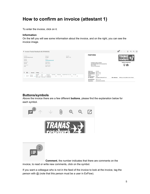# How to confirm an invoice (attestant 1)

To enter the invoice, click on it.

#### Information

On the left you will see some information about the invoice, and on the right, you can see the invoice image.

| ← Invoice Tranås Resebyrå AB (IF000020)                                                                                                                                                                              |                                                                                                                                               |                                                                                                                                                                                                                                        | $\mathbf{H}^{\mathrm{p}}$<br>[0]<br>Q<br>$\Theta$<br>$\sqrt{2}$<br>沙 |
|----------------------------------------------------------------------------------------------------------------------------------------------------------------------------------------------------------------------|-----------------------------------------------------------------------------------------------------------------------------------------------|----------------------------------------------------------------------------------------------------------------------------------------------------------------------------------------------------------------------------------------|----------------------------------------------------------------------|
| Company<br>Invoice no.<br>Svenska Röda Korset<br>415256<br>Vendor<br>Amount<br>503,00<br>Tranås Resebyrå AB                                                                                                          | Due date<br>2021-11-12                                                                                                                        | <b>FAKTURA</b>                                                                                                                                                                                                                         |                                                                      |
| Posting date<br>Net amount<br>503.00<br>2021-10-19<br>VAT amount<br>Document date<br>0,00<br>2021-10-13                                                                                                              |                                                                                                                                               | SVENSKA RÖDA KORSET<br>HUVUDKONTORET/LEV.RESKONTRA<br>BOX 17563<br>118 91 STOCKHOLM                                                                                                                                                    | <b>Statlig resegaranti!</b><br>W<br>$\frac{1}{14}$                   |
| Ξ<br>M<br>Coding<br>$\rightarrow$<br>Amount<br>ORG<br>PROJEKT<br>MOTPART<br>Account<br>Amount<br>$\times$ N15000 $\times$<br>5812<br>$-451$<br>503,00<br>$\mathbf{v}$<br>Resor (reseb., Lokal & Regi., Enhetsöverg., | DESCRIPTION Per code<br>PERSONAL<br>Per, date<br>$\blacktriangledown$<br>$\overline{\phantom{a}}$<br>$\mathbf{v}$<br>$\overline{\phantom{a}}$ | 415256<br>Fakturanr:<br>Fakturadatum: 2021-10-13<br>Förfallodatum: 2021-11-12<br>631735<br>Order:<br>1063<br>Kundnummer:<br>SUSANNA MARGARETA SO<br>Er referens:<br>$2021 - 11 - 10$<br>Avresedatum:<br>SONANDER/SUSANNA<br>Resenärer: | PERNILLA GULLBERG 0140-375030<br>Vår referens:                       |

### Buttons/symbols

Above the invoice there are a few different buttons, please find the explanation below for each symbol.



Comment, the number indicates that there are comments on the invoice, to read or write new comments, click on the symbol.

If you want a colleague who is not in the feed of the invoice to look at the invoice, tag the person with @ (note that this person must be a user in ExFlow).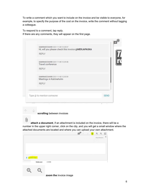To write a comment which you want to include on the invoice and be visible to everyone, for example, to specify the purpose of the cost on the invoice, write the comment without tagging a colleague.

To respond to a comment, tap reply. If there are any comments, they will appear on the first page.

| Hi, will you please check this invoice @MERJAPASKA<br><b>REPLY</b>           |
|------------------------------------------------------------------------------|
| SAMIRAEZZAHER 2021-11-08 12:29:48<br>Travel conference<br><b>REPLY</b>       |
| SAMIRAEZZAHER 2021-11-08 12:30:59<br>Meetings in Katrineholm<br><b>REPLY</b> |
| Type @ to mention someone<br><b>SEND</b>                                     |

scrolling between invoices

UJ attach a document, if an attachment is included on the invoice, there will be a number in the upper right corner, click on the clip, and you will get a small window where the attached documents are located and where you can upload your own attachment.

|                  |                        | 曰" | 不 | $\downarrow$ | $\Theta$    | $\Omega$ | $\Box$   |
|------------------|------------------------|----|---|--------------|-------------|----------|----------|
|                  |                        |    |   |              | Attachments |          | $\times$ |
|                  |                        |    |   |              |             |          |          |
|                  |                        |    |   |              |             |          |          |
|                  |                        |    |   |              |             |          |          |
| ATTACH FILE<br>Ξ |                        |    |   |              |             |          |          |
| Fakturanr:       | 415256                 |    |   |              |             |          |          |
|                  |                        |    |   |              |             |          |          |
|                  | zoom the invoice image |    |   |              |             |          |          |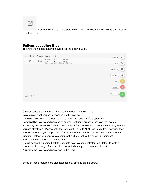

opens the invoice in a separate window — for example to save as a PDF or to print the invoice

## Buttons at posting lines

To show the hidden buttons, hover over the green button.



Cancel cancels the changes that you have done on the invoice

Save saves what you have changed on the invoice

Validate if you want to check if the accounting is correct before approval

Forward the invoice and pass on to another justifier (you have received the invoice incorrectly and know who should have it instead) if your role is to certify the invoice, that is if you are attestant 1. Please note that Attestant 2 should NOT use this button, because then you will renounce your approval. DO NOT send back to the previous person through this function, instead you can write a comment and tag that to the person by using  $@.$ Hold the invoice is under investigation

Reject sends the invoice back to accounts payable/administrator, mandatory to write a comment about why – for example incorrect, should go to someone else, etc Approve the invoice and pass it on in the feed

Some of these features are also accessed by clicking on the arrow: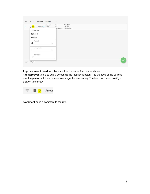| Account<br>ORG<br>$503,00 + 5812$<br>451<br>п<br>× | PROJEKT<br>N15000                                  |
|----------------------------------------------------|----------------------------------------------------|
| $\checkmark$ Approve                               |                                                    |
| X Reject                                           |                                                    |
| $\prod$ Hold                                       |                                                    |
| Forward                                            |                                                    |
| w                                                  |                                                    |
|                                                    |                                                    |
| $^{+1}$                                            |                                                    |
|                                                    |                                                    |
| 1                                                  |                                                    |
|                                                    | kal & Regi Enhetsövergr<br>Add approver<br>Comment |

Approve, reject, hold, and forward has the same function as above.

Add approver this is to add a person as the justifier/attestant 1 to the feed of the current row, the person will then be able to change the accounting. The feed can be shown if you click on this arrow



Comment adds a comment to the row.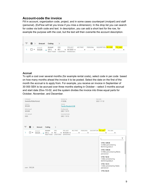## Account-code the invoice

Fill in account, organization code, project, and in some cases counterpart (motpart) and staff (personal). (ExFlow will let you know if you miss a dimension). In the drop list you can search for codes via both code and text. In description, you can add a short text for the row, for example the purpose with the cost, but the text will then overwrite the account description.

|     |        |         | Coding                   | ⋗   |                                       |         |          |                      |  |          |  |
|-----|--------|---------|--------------------------|-----|---------------------------------------|---------|----------|----------------------|--|----------|--|
|     | Amount | Account |                          | ORG | PROJEKT                               | MOTPART | PERSONAL | DESCRIPTION Per code |  | Per date |  |
| ⊡ ▼ | 503,00 | 5812    | $\overline{\phantom{a}}$ | 451 | $\times$ N15000 $\times$              |         |          |                      |  |          |  |
|     |        |         |                          |     | Resor (reseb Lokal & Regi Enhetsöverg |         |          |                      |  |          |  |

#### **Accrual**

To split a cost over several months (for example rental costs), select code in per.code based on how many months ahead the invoice it to be posted. Select the date on the first of the month the accrual is to apply from. For example, you receive an invoice in September of 30 000 SEK to be accrued over three months starting in October – select 3 months accrual and start date 20xx-10-02, and the system divides the invoice into three equal parts for October, November, and December.

| Company<br>Svenska Röda Korset                                                                                                                                | Invoice no.<br>415256                                                              | Due date<br>2021-11-12                                     |
|---------------------------------------------------------------------------------------------------------------------------------------------------------------|------------------------------------------------------------------------------------|------------------------------------------------------------|
| Amount<br>503,00                                                                                                                                              | Vendor<br>Tranås Resebyrå AB                                                       |                                                            |
| Net amount<br>503,00                                                                                                                                          | Posting date<br>2021-10-19                                                         |                                                            |
| VAT amount<br>0,00                                                                                                                                            | Document date<br>2021-10-13                                                        |                                                            |
| M<br>Coding<br>Amount<br>$\rightarrow$<br>$\rightarrow$                                                                                                       |                                                                                    |                                                            |
| ORG<br>Account<br>Amount<br>451<br>5812<br>$\overline{\mathbf{v}}$<br>503,00<br>H.<br>$\Delta\omega$<br>$\mathbf{v}$<br>Resor (reseb Lokal & Regi Enhetsöverg | PROJEKT<br>MOTPART<br>PERSONAL<br>$N15000 -$<br>$\overline{\phantom{a}}$<br>÷<br>w | DESCRIPTION Per code<br>Per. date<br>▼                     |
|                                                                                                                                                               |                                                                                    | Y<br>1790-12M-B<br>12 Mån periodisering<br>Bokföringsdatum |
|                                                                                                                                                               |                                                                                    | 1790-12M-N<br>12 Mån periodisering Nästa<br>periodstart    |
|                                                                                                                                                               |                                                                                    | 1790-1M-B<br>1 Mån periodisering<br>Bokföringsdatum        |
| sum 503,00                                                                                                                                                    |                                                                                    | 1790-1M-N<br>1 Mån periodisering Nästa<br>periodstart      |
|                                                                                                                                                               |                                                                                    | 1790-3M-B                                                  |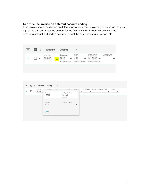#### To divide the invoice on different account coding

**Contract Contract** 

If the invoice should be divided on different accounts and/or projects, you do so via the plus sign at the amount. Enter the amount for the first row, then ExFlow will calculate the remaining amount and adds a new row, repeat the same steps with row two, etc.

| $\equiv$ | $\blacksquare$ | Amount Coding |         |     |                                           |         |
|----------|----------------|---------------|---------|-----|-------------------------------------------|---------|
|          |                | Amount        | Account | ORG | PROJEKT                                   | MOTPART |
|          | $\frac{1}{2}$  | 503,00        |         |     | $5812$ $\star$ 451 $\star$ N15000 $\star$ |         |
|          |                |               |         |     | Resor (reseb Lokal & Real Enhetsövera     |         |

|              |                          | Amount | Account                                     | ORG | PROJEKT.                   | MOTPART      |   | PERSONAL                | DESCRIPTION Per. code |   | Per. date |   |
|--------------|--------------------------|--------|---------------------------------------------|-----|----------------------------|--------------|---|-------------------------|-----------------------|---|-----------|---|
| $\mathbf{1}$ | $\overline{\phantom{a}}$ | 503,00 | Amount<br>403,00                            |     | Linetype/Coding<br>Account |              | ▼ | $\overline{\mathbf{v}}$ |                       | v |           | ▼ |
|              |                          |        | Amount                                      |     | Account<br>Linetype/Coding |              |   |                         |                       |   |           |   |
|              |                          |        | 100,00                                      |     |                            | $\mathbf{v}$ |   |                         |                       |   |           |   |
|              |                          |        | <b>CONSTRUCT</b><br><b>APPLY</b><br>534.426 |     |                            |              |   |                         |                       |   |           |   |